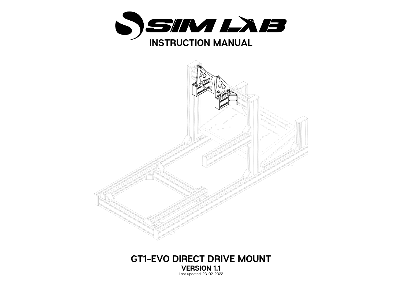



## **GT1-EVO DIRECT DRIVE MOUNT VERSION 1.1**  Last updated: 23-02-2022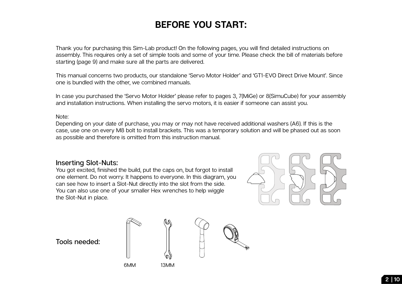## **BEFORE YOU START:**

Thank you for purchasing this Sim-Lab product! On the following pages, you will find detailed instructions on assembly. This requires only a set of simple tools and some of your time. Please check the bill of materials before starting (page 9) and make sure all the parts are delivered.

This manual concerns two products, our standalone 'Servo Motor Holder' and 'GT1-EVO Direct Drive Mount'. Since one is bundled with the other, we combined manuals.

In case you purchased the 'Servo Motor Holder' please refer to pages 3, 7(MiGe) or 8(SimuCube) for your assembly and installation instructions. When installing the servo motors, it is easier if someone can assist you.

## Note:

Depending on your date of purchase, you may or may not have received additional washers (A6). If this is the case, use one on every M8 bolt to install brackets. This was a temporary solution and will be phased out as soon as possible and therefore is omitted from this instruction manual.

## **Inserting Slot-Nuts:**

You got excited, finished the build, put the caps on, but forgot to install one element. Do not worry. It happens to everyone. In this diagram, you can see how to insert a Slot-Nut directly into the slot from the side. You can also use one of your smaller Hex wrenches to help wiggle the Slot-Nut in place.



**Tools needed:**



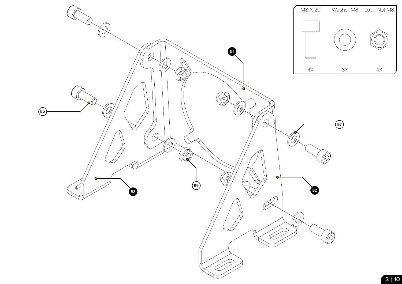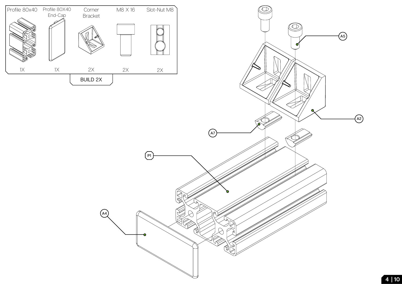

**A4**

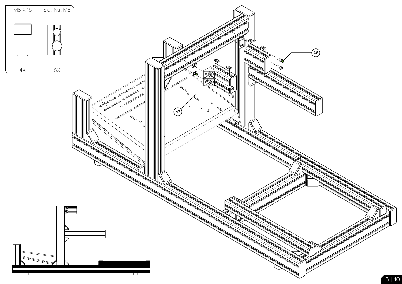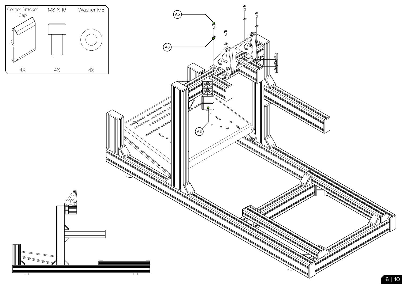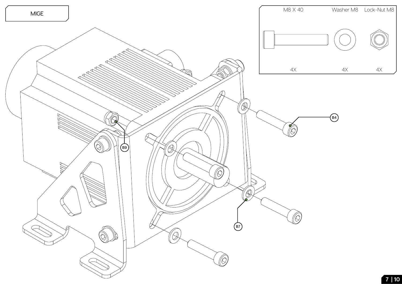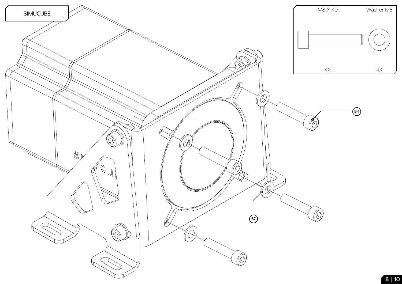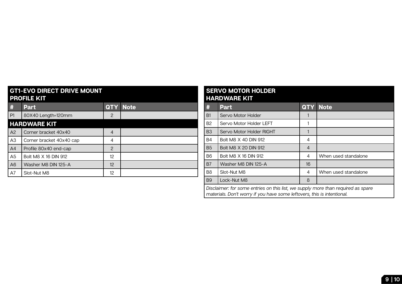| <b>GT1-EVO DIRECT DRIVE MOUNT</b><br><b>PROFILE KIT</b> |                          |               |             |  |  |
|---------------------------------------------------------|--------------------------|---------------|-------------|--|--|
| #                                                       | <b>Part</b>              | <b>QTY</b>    | <b>Note</b> |  |  |
| P1                                                      | 80X40 Length=120mm       | $\mathbf{2}$  |             |  |  |
| <b>HARDWARE KIT</b>                                     |                          |               |             |  |  |
| A <sub>2</sub>                                          | Corner bracket 40x40     | 4             |             |  |  |
| A <sub>3</sub>                                          | Corner bracket 40x40 cap | 4             |             |  |  |
| A <sub>4</sub>                                          | Profile 80x40 end-cap    | $\mathcal{P}$ |             |  |  |
| A5                                                      | Bolt M8 X 16 DIN 912     | 12            |             |  |  |
| A <sub>6</sub>                                          | Washer M8 DIN 125-A      | 12            |             |  |  |
| A7                                                      | Slot-Nut M8              | 12            |             |  |  |

| <b>SERVO MOTOR HOLDER</b><br><b>HARDWARE KIT</b>                                                                                                            |                          |            |                      |  |
|-------------------------------------------------------------------------------------------------------------------------------------------------------------|--------------------------|------------|----------------------|--|
| #                                                                                                                                                           | <b>Part</b>              | <b>QTY</b> | <b>Note</b>          |  |
| B1                                                                                                                                                          | Servo Motor Holder       |            |                      |  |
| B2                                                                                                                                                          | Servo Motor Holder LEFT  |            |                      |  |
| B <sub>3</sub>                                                                                                                                              | Servo Motor Holder RIGHT |            |                      |  |
| B4                                                                                                                                                          | Bolt M8 X 40 DIN 912     | 4          |                      |  |
| <b>B5</b>                                                                                                                                                   | Bolt M8 X 20 DIN 912     | 4          |                      |  |
| <b>B6</b>                                                                                                                                                   | Bolt M8 X 16 DIN 912     | 4          | When used standalone |  |
| B <sub>7</sub>                                                                                                                                              | Washer M8 DIN 125-A      | 16         |                      |  |
| B <sub>8</sub>                                                                                                                                              | Slot-Nut M8              | 4          | When used standalone |  |
| <b>B9</b>                                                                                                                                                   | Lock-Nut M8              | 8          |                      |  |
| Disclaimer: for some entries on this list, we supply more than required as spare<br>materials. Don't worry if you have some leftovers, this is intentional. |                          |            |                      |  |